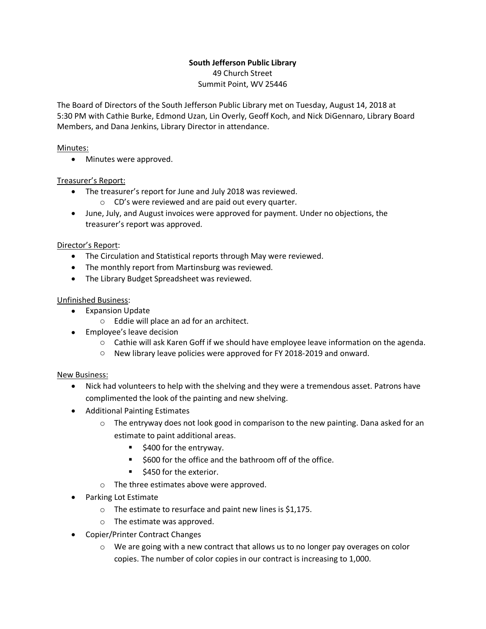# **South Jefferson Public Library** 49 Church Street

Summit Point, WV 25446

The Board of Directors of the South Jefferson Public Library met on Tuesday, August 14, 2018 at 5:30 PM with Cathie Burke, Edmond Uzan, Lin Overly, Geoff Koch, and Nick DiGennaro, Library Board Members, and Dana Jenkins, Library Director in attendance.

### Minutes:

• Minutes were approved.

## Treasurer's Report:

- The treasurer's report for June and July 2018 was reviewed.
	- o CD's were reviewed and are paid out every quarter.
- June, July, and August invoices were approved for payment. Under no objections, the treasurer's report was approved.

### Director's Report:

- The Circulation and Statistical reports through May were reviewed.
- The monthly report from Martinsburg was reviewed.
- The Library Budget Spreadsheet was reviewed.

### Unfinished Business:

- Expansion Update
	- o Eddie will place an ad for an architect.
- Employee's leave decision
	- o Cathie will ask Karen Goff if we should have employee leave information on the agenda.
	- o New library leave policies were approved for FY 2018-2019 and onward.

#### New Business:

- Nick had volunteers to help with the shelving and they were a tremendous asset. Patrons have complimented the look of the painting and new shelving.
- Additional Painting Estimates
	- o The entryway does not look good in comparison to the new painting. Dana asked for an estimate to paint additional areas.
		- \$400 for the entryway.
		- § \$600 for the office and the bathroom off of the office.
		- \$450 for the exterior.
	- o The three estimates above were approved.
- Parking Lot Estimate
	- $\circ$  The estimate to resurface and paint new lines is \$1,175.
	- o The estimate was approved.
- Copier/Printer Contract Changes
	- $\circ$  We are going with a new contract that allows us to no longer pay overages on color copies. The number of color copies in our contract is increasing to 1,000.